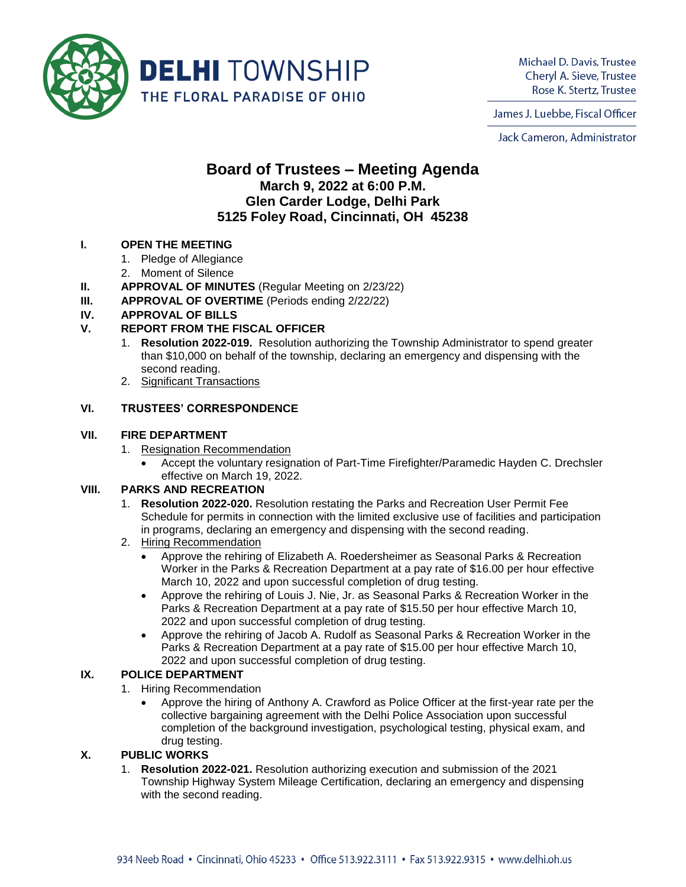

Michael D. Davis, Trustee Cheryl A. Sieve, Trustee Rose K. Stertz, Trustee

James J. Luebbe, Fiscal Officer

Jack Cameron, Administrator

# **Board of Trustees – Meeting Agenda March 9, 2022 at 6:00 P.M. Glen Carder Lodge, Delhi Park 5125 Foley Road, Cincinnati, OH 45238**

#### **I. OPEN THE MEETING**

- 1. Pledge of Allegiance
- 2. Moment of Silence
- **II. APPROVAL OF MINUTES** (Regular Meeting on 2/23/22)
- **III. APPROVAL OF OVERTIME** (Periods ending 2/22/22)

### **IV. APPROVAL OF BILLS**

## **V. REPORT FROM THE FISCAL OFFICER**

- 1. **Resolution 2022-019.** Resolution authorizing the Township Administrator to spend greater than \$10,000 on behalf of the township, declaring an emergency and dispensing with the second reading.
- 2. Significant Transactions

#### **VI. TRUSTEES' CORRESPONDENCE**

#### **VII. FIRE DEPARTMENT**

- 1. Resignation Recommendation
	- Accept the voluntary resignation of Part-Time Firefighter/Paramedic Hayden C. Drechsler effective on March 19, 2022.

#### **VIII. PARKS AND RECREATION**

- 1. **Resolution 2022-020.** Resolution restating the Parks and Recreation User Permit Fee Schedule for permits in connection with the limited exclusive use of facilities and participation in programs, declaring an emergency and dispensing with the second reading.
- 2. Hiring Recommendation
	- Approve the rehiring of Elizabeth A. Roedersheimer as Seasonal Parks & Recreation Worker in the Parks & Recreation Department at a pay rate of \$16.00 per hour effective March 10, 2022 and upon successful completion of drug testing.
	- Approve the rehiring of Louis J. Nie, Jr. as Seasonal Parks & Recreation Worker in the Parks & Recreation Department at a pay rate of \$15.50 per hour effective March 10, 2022 and upon successful completion of drug testing.
	- Approve the rehiring of Jacob A. Rudolf as Seasonal Parks & Recreation Worker in the Parks & Recreation Department at a pay rate of \$15.00 per hour effective March 10, 2022 and upon successful completion of drug testing.

#### **IX. POLICE DEPARTMENT**

- 1. Hiring Recommendation
	- Approve the hiring of Anthony A. Crawford as Police Officer at the first-year rate per the collective bargaining agreement with the Delhi Police Association upon successful completion of the background investigation, psychological testing, physical exam, and drug testing.

#### **X. PUBLIC WORKS**

1. **Resolution 2022-021.** Resolution authorizing execution and submission of the 2021 Township Highway System Mileage Certification, declaring an emergency and dispensing with the second reading.